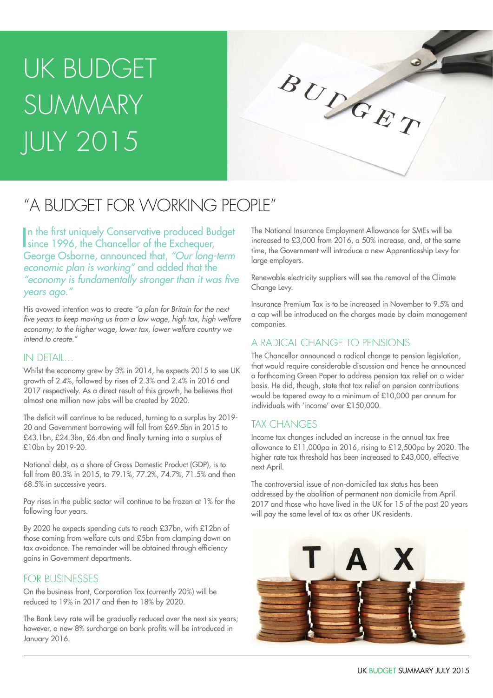# UK BUDGET SUMMARY JULY 2015



## "A BUDGET FOR WORKING PEOPLE"

In the first uniquely Conservative produced Budget<br>
since 1996, the Chancellor of the Exchequer, since 1996, the Chancellor of the Exchequer, George Osborne, announced that, *"Our long-term economic plan is working"* and added that the "economy is fundamentally stronger than it was five *years ago."*

His avowed intention was to create *"a plan for Britain for the next*  five years to keep moving us from a low wage, high tax, high welfare economy; to the higher wage, lower tax, lower welfare country we *intend to create."*

### IN DETAIL…

Whilst the economy grew by 3% in 2014, he expects 2015 to see UK growth of 2.4%, followed by rises of 2.3% and 2.4% in 2016 and 2017 respectively. As a direct result of this growth, he believes that almost one million new jobs will be created by 2020.

The deficit will continue to be reduced, turning to a surplus by 2019- 20 and Government borrowing will fall from £69.5bn in 2015 to £43.1bn, £24.3bn, £6.4bn and finally turning into a surplus of £10bn by 2019-20.

National debt, as a share of Gross Domestic Product (GDP), is to fall from 80.3% in 2015, to 79.1%, 77.2%, 74.7%, 71.5% and then 68.5% in successive years.

Pay rises in the public sector will continue to be frozen at 1% for the following four years.

By 2020 he expects spending cuts to reach £37bn, with £12bn of those coming from welfare cuts and £5bn from clamping down on tax avoidance. The remainder will be obtained through efficiency gains in Government departments.

### FOR BUSINESSES

On the business front, Corporation Tax (currently 20%) will be reduced to 19% in 2017 and then to 18% by 2020.

The Bank Levy rate will be gradually reduced over the next six years; however, a new 8% surcharge on bank profits will be introduced in January 2016.

The National Insurance Employment Allowance for SMEs will be increased to £3,000 from 2016, a 50% increase, and, at the same time, the Government will introduce a new Apprenticeship Levy for large employers.

Renewable electricity suppliers will see the removal of the Climate Change Levy.

Insurance Premium Tax is to be increased in November to 9.5% and a cap will be introduced on the charges made by claim management companies.

### A RADICAL CHANGE TO PENSIONS

The Chancellor announced a radical change to pension legislation, that would require considerable discussion and hence he announced a forthcoming Green Paper to address pension tax relief on a wider basis. He did, though, state that tax relief on pension contributions would be tapered away to a minimum of £10,000 per annum for individuals with 'income' over £150,000.

### TAX CHANGES

Income tax changes included an increase in the annual tax free allowance to £11,000pa in 2016, rising to £12,500pa by 2020. The higher rate tax threshold has been increased to £43,000, effective next April.

The controversial issue of non-domiciled tax status has been addressed by the abolition of permanent non domicile from April 2017 and those who have lived in the UK for 15 of the past 20 years will pay the same level of tax as other UK residents.